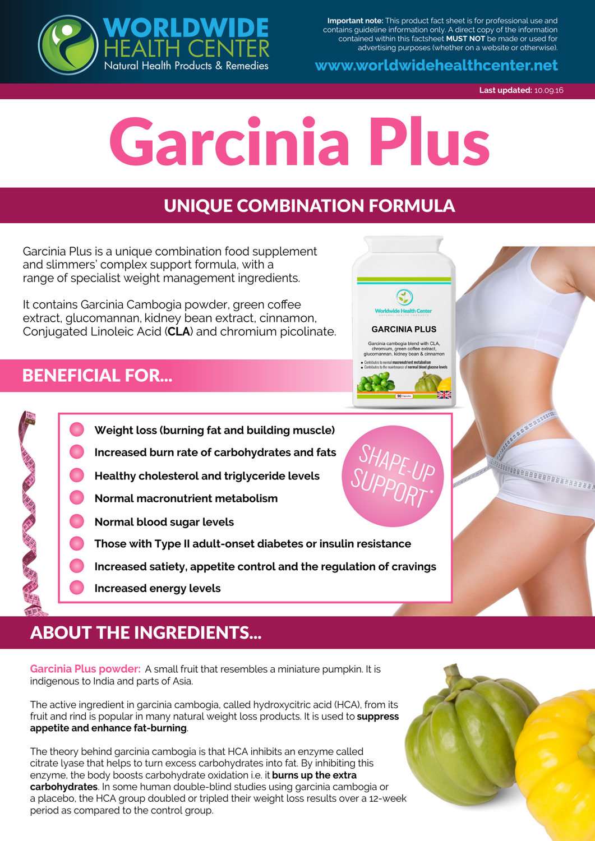

**Important note:** This product fact sheet is for professional use and contains guideline information only. A direct copy of the information contained within this factsheet **MUST NOT** be made or used for advertising purposes (whether on a website or otherwise).

**www.worldwidehealthcenter.net**

**Last updated:** 10.09.16

**MAGAZABEES** 

# Garcinia Plus

### UNIQUE COMBINATION FORMULA

Garcinia Plus is a unique combination food supplement and slimmers' complex support formula, with a range of specialist weight management ingredients.

It contains Garcinia Cambogia powder, green coffee extract, glucomannan, kidney bean extract, cinnamon, Conjugated Linoleic Acid (**CLA**) and chromium picolinate.

#### BENEFICIAL FOR...



Garcinia cambogia blend with CLA,<br>chromium, green coffee extract,<br>glucomannan, kidney bean & cinnamon



- **Weight loss (burning fat and building muscle) Increased burn rate of carbohydrates and fats Healthy cholesterol and triglyceride levels Normal macronutrient metabolism**
	- **Normal blood sugar levels**
	- **Those with Type II adult-onset diabetes or insulin resistance**
	- **Increased satiety, appetite control and the regulation of cravings**
	- **Increased energy levels**

## ABOUT THE INGREDIENTS...

**Garcinia Plus powder:** A small fruit that resembles a miniature pumpkin. It is indigenous to India and parts of Asia.

The active ingredient in garcinia cambogia, called hydroxycitric acid (HCA), from its fruit and rind is popular in many natural weight loss products. It is used to **suppress appetite and enhance fat-burning**.

The theory behind garcinia cambogia is that HCA inhibits an enzyme called citrate lyase that helps to turn excess carbohydrates into fat. By inhibiting this enzyme, the body boosts carbohydrate oxidation i.e. it **burns up the extra carbohydrates**. In some human double-blind studies using garcinia cambogia or a placebo, the HCA group doubled or tripled their weight loss results over a 12-week period as compared to the control group.